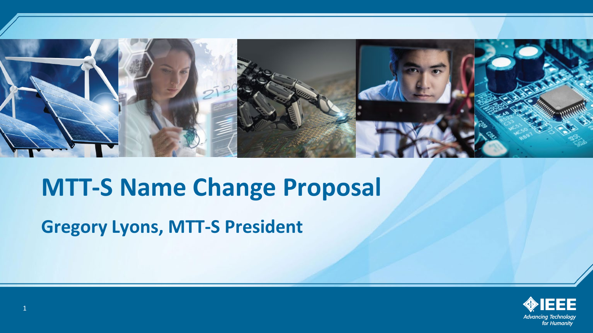

# **MTT-S Name Change Proposal**

**Gregory Lyons, MTT-S President**

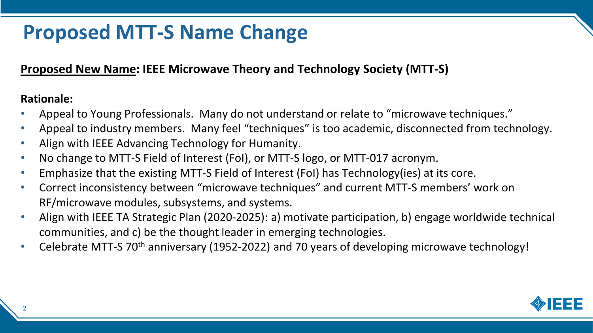## **Proposed MTT-S Name Change**

#### **Proposed New Name: IEEE Microwave Theory and Technology Society (MTT-S)**

#### **Rationale:**

- Appeal to Young Professionals. Many do not understand or relate to "microwave techniques."
- Appeal to industry members. Many feel "techniques" is too academic, disconnected from technology.
- Align with IEEE Advancing Technology for Humanity.
- No change to MTT-S Field of Interest (FoI), or MTT-S logo, or MTT-017 acronym.
- Emphasize that the existing MTT-S Field of Interest (FoI) has Technology(ies) at its core.
- Correct inconsistency between "microwave techniques" and current MTT-S members' work on RF/microwave modules, subsystems, and systems.
- Align with IEEE TA Strategic Plan (2020-2025): a) motivate participation, b) engage worldwide technical communities, and c) be the thought leader in emerging technologies.
- Celebrate MTT-S 70<sup>th</sup> anniversary (1952-2022) and 70 years of developing microwave technology!